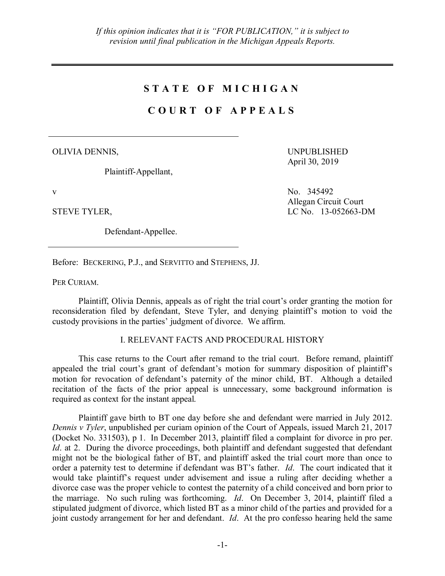## **S T A T E O F M I C H I G A N**

## **C O U R T O F A P P E A L S**

OLIVIA DENNIS,

Plaintiff-Appellant,

UNPUBLISHED April 30, 2019

Allegan Circuit Court

v No. 345492

STEVE TYLER, LC No. 13-052663-DM

Defendant-Appellee.

Before: BECKERING, P.J., and SERVITTO and STEPHENS, JJ.

PER CURIAM.

Plaintiff, Olivia Dennis, appeals as of right the trial court's order granting the motion for reconsideration filed by defendant, Steve Tyler, and denying plaintiff's motion to void the custody provisions in the parties' judgment of divorce. We affirm.

## I. RELEVANT FACTS AND PROCEDURAL HISTORY

This case returns to the Court after remand to the trial court. Before remand, plaintiff appealed the trial court's grant of defendant's motion for summary disposition of plaintiff's motion for revocation of defendant's paternity of the minor child, BT. Although a detailed recitation of the facts of the prior appeal is unnecessary, some background information is required as context for the instant appeal.

Plaintiff gave birth to BT one day before she and defendant were married in July 2012. *Dennis v Tyler*, unpublished per curiam opinion of the Court of Appeals, issued March 21, 2017 (Docket No. 331503), p 1. In December 2013, plaintiff filed a complaint for divorce in pro per. *Id.* at 2. During the divorce proceedings, both plaintiff and defendant suggested that defendant might not be the biological father of BT, and plaintiff asked the trial court more than once to order a paternity test to determine if defendant was BT's father. *Id*. The court indicated that it would take plaintiff's request under advisement and issue a ruling after deciding whether a divorce case was the proper vehicle to contest the paternity of a child conceived and born prior to the marriage. No such ruling was forthcoming. *Id*. On December 3, 2014, plaintiff filed a stipulated judgment of divorce, which listed BT as a minor child of the parties and provided for a joint custody arrangement for her and defendant. *Id*. At the pro confesso hearing held the same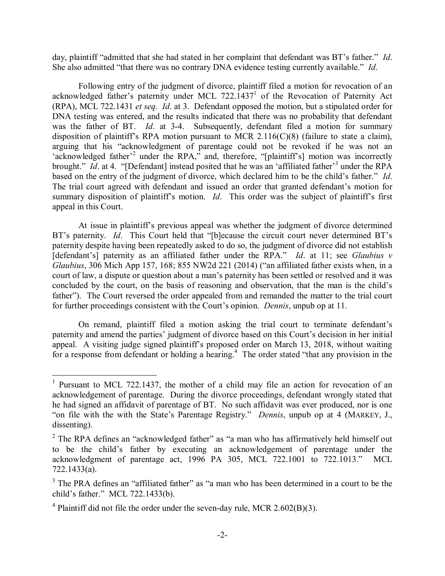day, plaintiff "admitted that she had stated in her complaint that defendant was BT's father." *Id*. She also admitted "that there was no contrary DNA evidence testing currently available." *Id*.

Following entry of the judgment of divorce, plaintiff filed a motion for revocation of an acknowledged father's paternity under MCL 722.1437<sup>1</sup> of the Revocation of Paternity Act (RPA), MCL 722.1431 *et seq*. *Id*. at 3. Defendant opposed the motion, but a stipulated order for DNA testing was entered, and the results indicated that there was no probability that defendant was the father of BT. *Id*. at 3-4. Subsequently, defendant filed a motion for summary disposition of plaintiff's RPA motion pursuant to MCR 2.116( $C(8)$ ) (failure to state a claim), arguing that his "acknowledgment of parentage could not be revoked if he was not an 'acknowledged father<sup>32</sup> under the RPA," and, therefore, "[plaintiff's] motion was incorrectly brought." *Id.* at 4. "[Defendant] instead posited that he was an 'affiliated father<sup>3</sup> under the RPA based on the entry of the judgment of divorce, which declared him to be the child's father." *Id*. The trial court agreed with defendant and issued an order that granted defendant's motion for summary disposition of plaintiff's motion. *Id*. This order was the subject of plaintiff's first appeal in this Court.

At issue in plaintiff's previous appeal was whether the judgment of divorce determined BT's paternity. *Id*. This Court held that "[b]ecause the circuit court never determined BT's paternity despite having been repeatedly asked to do so, the judgment of divorce did not establish [defendant's] paternity as an affiliated father under the RPA." *Id.* at 11; see *Glaubius v Glaubius*, 306 Mich App 157, 168; 855 NW2d 221 (2014) ("an affiliated father exists when, in a court of law, a dispute or question about a man's paternity has been settled or resolved and it was concluded by the court, on the basis of reasoning and observation, that the man is the child's father"). The Court reversed the order appealed from and remanded the matter to the trial court for further proceedings consistent with the Court's opinion. *Dennis*, unpub op at 11.

On remand, plaintiff filed a motion asking the trial court to terminate defendant's paternity and amend the parties' judgment of divorce based on this Court's decision in her initial appeal. A visiting judge signed plaintiff's proposed order on March 13, 2018, without waiting for a response from defendant or holding a hearing.<sup>4</sup> The order stated "that any provision in the

<sup>&</sup>lt;sup>1</sup> Pursuant to MCL 722.1437, the mother of a child may file an action for revocation of an acknowledgement of parentage. During the divorce proceedings, defendant wrongly stated that he had signed an affidavit of parentage of BT. No such affidavit was ever produced, nor is one "on file with the with the State's Parentage Registry." *Dennis*, unpub op at 4 (MARKEY, J., dissenting).

 $2$  The RPA defines an "acknowledged father" as "a man who has affirmatively held himself out to be the child's father by executing an acknowledgement of parentage under the acknowledgment of parentage act, 1996 PA 305, MCL 722.1001 to 722.1013." MCL 722.1433(a).

<sup>&</sup>lt;sup>3</sup> The PRA defines an "affiliated father" as "a man who has been determined in a court to be the child's father." MCL 722.1433(b).

<sup>&</sup>lt;sup>4</sup> Plaintiff did not file the order under the seven-day rule, MCR 2.602(B)(3).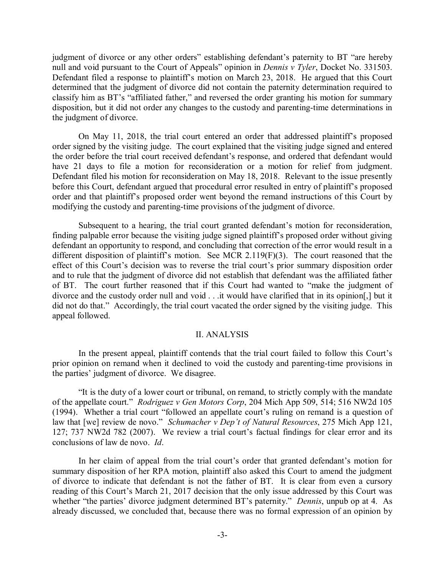judgment of divorce or any other orders" establishing defendant's paternity to BT "are hereby null and void pursuant to the Court of Appeals" opinion in *Dennis v Tyler*, Docket No. 331503. Defendant filed a response to plaintiff's motion on March 23, 2018. He argued that this Court determined that the judgment of divorce did not contain the paternity determination required to classify him as BT's "affiliated father," and reversed the order granting his motion for summary disposition, but it did not order any changes to the custody and parenting-time determinations in the judgment of divorce.

On May 11, 2018, the trial court entered an order that addressed plaintiff's proposed order signed by the visiting judge. The court explained that the visiting judge signed and entered the order before the trial court received defendant's response, and ordered that defendant would have 21 days to file a motion for reconsideration or a motion for relief from judgment. Defendant filed his motion for reconsideration on May 18, 2018. Relevant to the issue presently before this Court, defendant argued that procedural error resulted in entry of plaintiff's proposed order and that plaintiff's proposed order went beyond the remand instructions of this Court by modifying the custody and parenting-time provisions of the judgment of divorce.

Subsequent to a hearing, the trial court granted defendant's motion for reconsideration, finding palpable error because the visiting judge signed plaintiff's proposed order without giving defendant an opportunity to respond, and concluding that correction of the error would result in a different disposition of plaintiff's motion. See MCR 2.119(F)(3). The court reasoned that the effect of this Court's decision was to reverse the trial court's prior summary disposition order and to rule that the judgment of divorce did not establish that defendant was the affiliated father of BT. The court further reasoned that if this Court had wanted to "make the judgment of divorce and the custody order null and void . . .it would have clarified that in its opinion[,] but it did not do that." Accordingly, the trial court vacated the order signed by the visiting judge. This appeal followed.

## II. ANALYSIS

In the present appeal, plaintiff contends that the trial court failed to follow this Court's prior opinion on remand when it declined to void the custody and parenting-time provisions in the parties' judgment of divorce. We disagree.

"It is the duty of a lower court or tribunal, on remand, to strictly comply with the mandate of the appellate court." *Rodriguez v Gen Motors Corp*, 204 Mich App 509, 514; 516 NW2d 105 (1994). Whether a trial court "followed an appellate court's ruling on remand is a question of law that [we] review de novo." *Schumacher v Dep't of Natural Resources*, 275 Mich App 121, 127; 737 NW2d 782 (2007). We review a trial court's factual findings for clear error and its conclusions of law de novo. *Id*.

In her claim of appeal from the trial court's order that granted defendant's motion for summary disposition of her RPA motion, plaintiff also asked this Court to amend the judgment of divorce to indicate that defendant is not the father of BT. It is clear from even a cursory reading of this Court's March 21, 2017 decision that the only issue addressed by this Court was whether "the parties' divorce judgment determined BT's paternity." *Dennis*, unpub op at 4. As already discussed, we concluded that, because there was no formal expression of an opinion by